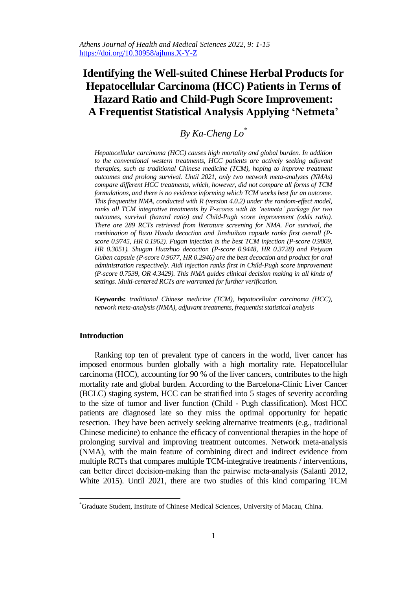*Athens Journal of Health and Medical Sciences 2022, 9: 1-15* https://doi.org/10.30958/ajhms.X-Y-Z

# **Identifying the Well-suited Chinese Herbal Products for Hepatocellular Carcinoma (HCC) Patients in Terms of Hazard Ratio and Child-Pugh Score Improvement: A Frequentist Statistical Analysis Applying 'Netmeta'**

# *By Ka-Cheng Lo\**

*Hepatocellular carcinoma (HCC) causes high mortality and global burden. In addition*  to the conventional western treatments, HCC patients are actively seeking adjuvant *therapies, such as traditional Chinese medicine (TCM), hoping to improve treatment outcomes and prolong survival. Until 2021, only two network meta-analyses (NMAs) compare different HCC treatments, which, however, did not compare all forms of TCM formulations, and there is no evidence informing which TCM works best for an outcome. This frequentist NMA, conducted with R (version 4.0.2) under the random-effect model, ranks all TCM integrative treatments by P-scores with its 'netmeta' package for two outcomes, survival (hazard ratio) and Child-Pugh score improvement (odds ratio). There are 289 RCTs retrieved from literature screening for NMA. For survival, the combination of Buxu Huadu decoction and Jinshuibao capsule ranks first overall (Pscore 0.9745, HR 0.1962). Fugan injection is the best TCM injection (P-score 0.9809, HR 0.3051). Shugan Huazhuo decoction (P-score 0.9448, HR 0.3728) and Peiyuan Guben capsule (P-score 0.9677, HR 0.2946) are the best decoction and product for oral administration respectively. Aidi injection ranks first in Child-Pugh score improvement (P-score 0.7539, OR 4.3429). This NMA guides clinical decision making in all kinds of settings. Multi-centered RCTs are warranted for further verification.*

**Keywords:** *traditional Chinese medicine (TCM), hepatocellular carcinoma (HCC), network meta-analysis (NMA), adjuvant treatments, frequentist statistical analysis*

# **Introduction**

 $\overline{a}$ 

Ranking top ten of prevalent type of cancers in the world, liver cancer has imposed enormous burden globally with a high mortality rate. Hepatocellular carcinoma (HCC), accounting for 90 % of the liver cancers, contributes to the high mortality rate and global burden. According to the Barcelona-Clínic Liver Cancer (BCLC) staging system, HCC can be stratified into 5 stages of severity according to the size of tumor and liver function (Child - Pugh classification). Most HCC patients are diagnosed late so they miss the optimal opportunity for hepatic resection. They have been actively seeking alternative treatments (e.g., traditional Chinese medicine) to enhance the efficacy of conventional therapies in the hope of prolonging survival and improving treatment outcomes. Network meta-analysis (NMA), with the main feature of combining direct and indirect evidence from multiple RCTs that compares multiple TCM-integrative treatments / interventions, can better direct decision-making than the pairwise meta-analysis (Salanti 2012, White 2015). Until 2021, there are two studies of this kind comparing TCM

<sup>\*</sup>Graduate Student, Institute of Chinese Medical Sciences, University of Macau, China.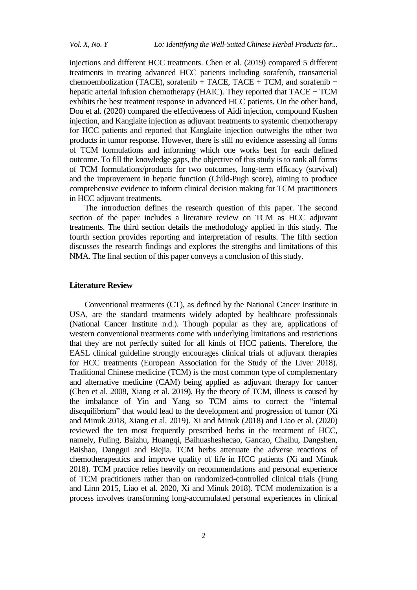injections and different HCC treatments. Chen et al. (2019) compared 5 different treatments in treating advanced HCC patients including sorafenib, transarterial chemoembolization (TACE), sorafenib + TACE, TACE + TCM, and sorafenib + hepatic arterial infusion chemotherapy (HAIC). They reported that  $TACE + TCM$ exhibits the best treatment response in advanced HCC patients. On the other hand, Dou et al. (2020) compared the effectiveness of Aidi injection, compound Kushen injection, and Kanglaite injection as adjuvant treatments to systemic chemotherapy for HCC patients and reported that Kanglaite injection outweighs the other two products in tumor response. However, there is still no evidence assessing all forms of TCM formulations and informing which one works best for each defined outcome. To fill the knowledge gaps, the objective of this study is to rank all forms of TCM formulations/products for two outcomes, long-term efficacy (survival) and the improvement in hepatic function (Child-Pugh score), aiming to produce comprehensive evidence to inform clinical decision making for TCM practitioners in HCC adjuvant treatments.

The introduction defines the research question of this paper. The second section of the paper includes a literature review on TCM as HCC adjuvant treatments. The third section details the methodology applied in this study. The fourth section provides reporting and interpretation of results. The fifth section discusses the research findings and explores the strengths and limitations of this NMA. The final section of this paper conveys a conclusion of this study.

## **Literature Review**

Conventional treatments (CT), as defined by the National Cancer Institute in USA, are the standard treatments widely adopted by healthcare professionals (National Cancer Institute n.d.). Though popular as they are, applications of western conventional treatments come with underlying limitations and restrictions that they are not perfectly suited for all kinds of HCC patients. Therefore, the EASL clinical guideline strongly encourages clinical trials of adjuvant therapies for HCC treatments (European Association for the Study of the Liver 2018). Traditional Chinese medicine (TCM) is the most common type of complementary and alternative medicine (CAM) being applied as adjuvant therapy for cancer (Chen et al. 2008, Xiang et al. 2019). By the theory of TCM, illness is caused by the imbalance of Yin and Yang so TCM aims to correct the "internal disequilibrium" that would lead to the development and progression of tumor (Xi and Minuk 2018, Xiang et al. 2019). Xi and Minuk (2018) and Liao et al. (2020) reviewed the ten most frequently prescribed herbs in the treatment of HCC, namely, Fuling, Baizhu, Huangqi, Baihuasheshecao, Gancao, Chaihu, Dangshen, Baishao, Danggui and Biejia. TCM herbs attenuate the adverse reactions of chemotherapeutics and improve quality of life in HCC patients (Xi and Minuk 2018). TCM practice relies heavily on recommendations and personal experience of TCM practitioners rather than on randomized-controlled clinical trials (Fung and Linn 2015, Liao et al. 2020, Xi and Minuk 2018). TCM modernization is a process involves transforming long-accumulated personal experiences in clinical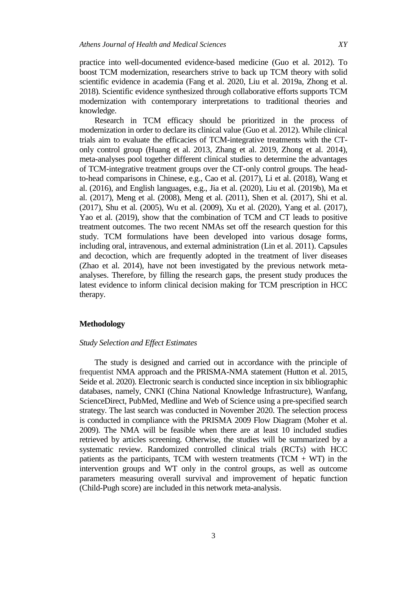practice into well-documented evidence-based medicine (Guo et al. 2012). To boost TCM modernization, researchers strive to back up TCM theory with solid scientific evidence in academia (Fang et al. 2020, Liu et al. 2019a, Zhong et al. 2018). Scientific evidence synthesized through collaborative efforts supports TCM modernization with contemporary interpretations to traditional theories and knowledge.

Research in TCM efficacy should be prioritized in the process of modernization in order to declare its clinical value (Guo et al. 2012). While clinical trials aim to evaluate the efficacies of TCM-integrative treatments with the CTonly control group (Huang et al. 2013, Zhang et al. 2019, Zhong et al. 2014), meta-analyses pool together different clinical studies to determine the advantages of TCM-integrative treatment groups over the CT-only control groups. The headto-head comparisons in Chinese, e.g., Cao et al. (2017), Li et al. (2018), Wang et al. (2016), and English languages, e.g., Jia et al. (2020), Liu et al. (2019b), Ma et al. (2017), Meng et al. (2008), Meng et al. (2011), Shen et al. (2017), Shi et al. (2017), Shu et al. (2005), Wu et al. (2009), Xu et al. (2020), Yang et al. (2017), Yao et al. (2019), show that the combination of TCM and CT leads to positive treatment outcomes. The two recent NMAs set off the research question for this study. TCM formulations have been developed into various dosage forms, including oral, intravenous, and external administration (Lin et al. 2011). Capsules and decoction, which are frequently adopted in the treatment of liver diseases (Zhao et al. 2014), have not been investigated by the previous network metaanalyses. Therefore, by filling the research gaps, the present study produces the latest evidence to inform clinical decision making for TCM prescription in HCC therapy.

# **Methodology**

## *Study Selection and Effect Estimates*

The study is designed and carried out in accordance with the principle of frequentist NMA approach and the PRISMA-NMA statement (Hutton et al. 2015, Seide et al. 2020). Electronic search is conducted since inception in six bibliographic databases, namely, CNKI (China National Knowledge Infrastructure), Wanfang, ScienceDirect, PubMed, Medline and Web of Science using a pre-specified search strategy. The last search was conducted in November 2020. The selection process is conducted in compliance with the PRISMA 2009 Flow Diagram (Moher et al. 2009). The NMA will be feasible when there are at least 10 included studies retrieved by articles screening. Otherwise, the studies will be summarized by a systematic review. Randomized controlled clinical trials (RCTs) with HCC patients as the participants, TCM with western treatments (TCM  $+$  WT) in the intervention groups and WT only in the control groups, as well as outcome parameters measuring overall survival and improvement of hepatic function (Child-Pugh score) are included in this network meta-analysis.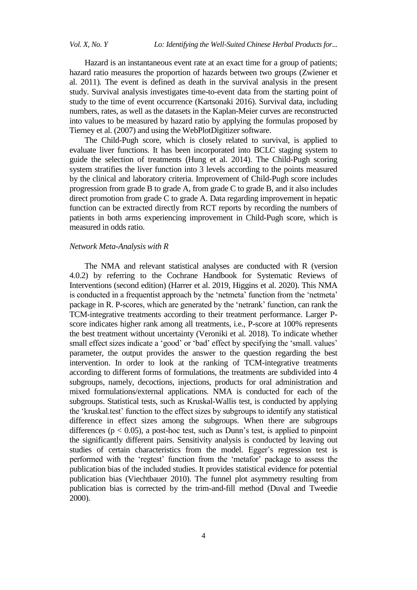Hazard is an instantaneous event rate at an exact time for a group of patients; hazard ratio measures the proportion of hazards between two groups (Zwiener et al. 2011). The event is defined as death in the survival analysis in the present study. Survival analysis investigates time-to-event data from the starting point of study to the time of event occurrence (Kartsonaki 2016). Survival data, including numbers, rates, as well as the datasets in the Kaplan-Meier curves are reconstructed into values to be measured by hazard ratio by applying the formulas proposed by Tierney et al. (2007) and using the WebPlotDigitizer software.

The Child-Pugh score, which is closely related to survival, is applied to evaluate liver functions. It has been incorporated into BCLC staging system to guide the selection of treatments (Hung et al. 2014). The Child-Pugh scoring system stratifies the liver function into 3 levels according to the points measured by the clinical and laboratory criteria. Improvement of Child-Pugh score includes progression from grade B to grade A, from grade C to grade B, and it also includes direct promotion from grade C to grade A. Data regarding improvement in hepatic function can be extracted directly from RCT reports by recording the numbers of patients in both arms experiencing improvement in Child-Pugh score, which is measured in odds ratio.

#### *Network Meta-Analysis with R*

The NMA and relevant statistical analyses are conducted with R (version 4.0.2) by referring to the Cochrane Handbook for Systematic Reviews of Interventions (second edition) (Harrer et al. 2019, Higgins et al. 2020). This NMA is conducted in a frequentist approach by the 'netmeta' function from the 'netmeta' package in R. P-scores, which are generated by the 'netrank' function, can rank the TCM-integrative treatments according to their treatment performance. Larger Pscore indicates higher rank among all treatments, i.e., P-score at 100% represents the best treatment without uncertainty (Veroniki et al. 2018). To indicate whether small effect sizes indicate a 'good' or 'bad' effect by specifying the 'small. values' parameter, the output provides the answer to the question regarding the best intervention. In order to look at the ranking of TCM-integrative treatments according to different forms of formulations, the treatments are subdivided into 4 subgroups, namely, decoctions, injections, products for oral administration and mixed formulations/external applications. NMA is conducted for each of the subgroups. Statistical tests, such as Kruskal-Wallis test, is conducted by applying the ‗kruskal.test' function to the effect sizes by subgroups to identify any statistical difference in effect sizes among the subgroups. When there are subgroups differences ( $p < 0.05$ ), a post-hoc test, such as Dunn's test, is applied to pinpoint the significantly different pairs. Sensitivity analysis is conducted by leaving out studies of certain characteristics from the model. Egger's regression test is performed with the 'regtest' function from the 'metafor' package to assess the publication bias of the included studies. It provides statistical evidence for potential publication bias (Viechtbauer 2010). The funnel plot asymmetry resulting from publication bias is corrected by the trim-and-fill method (Duval and Tweedie 2000).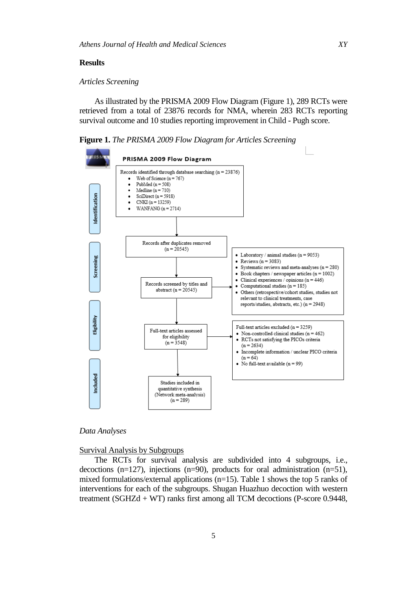#### **Results**

# *Articles Screening*

As illustrated by the PRISMA 2009 Flow Diagram (Figure 1), 289 RCTs were retrieved from a total of 23876 records for NMA, wherein 283 RCTs reporting survival outcome and 10 studies reporting improvement in Child - Pugh score.

**Figure 1.** *The PRISMA 2009 Flow Diagram for Articles Screening*



#### *Data Analyses*

## Survival Analysis by Subgroups

The RCTs for survival analysis are subdivided into 4 subgroups, i.e., decoctions (n=127), injections (n=90), products for oral administration (n=51), mixed formulations/external applications (n=15). Table 1 shows the top 5 ranks of interventions for each of the subgroups. Shugan Huazhuo decoction with western treatment (SGHZd + WT) ranks first among all TCM decoctions (P-score 0.9448,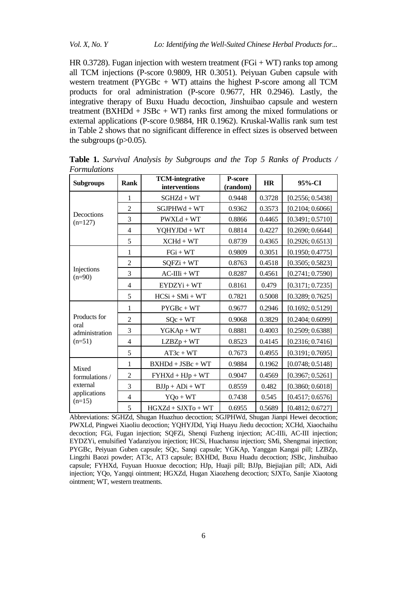HR 0.3728). Fugan injection with western treatment ( $FGi + WT$ ) ranks top among all TCM injections (P-score 0.9809, HR 0.3051). Peiyuan Guben capsule with western treatment ( $PYGBc + WT$ ) attains the highest P-score among all TCM products for oral administration (P-score 0.9677, HR 0.2946). Lastly, the integrative therapy of Buxu Huadu decoction, Jinshuibao capsule and western treatment (BXHDd + JSBc + WT) ranks first among the mixed formulations or external applications (P-score 0.9884, HR 0.1962). Kruskal-Wallis rank sum test in Table 2 shows that no significant difference in effect sizes is observed between the subgroups  $(p>0.05)$ .

| <b>Subgroups</b>                    | <b>Rank</b>    | <b>TCM-integrative</b><br>interventions | P-score<br>(random) | HR     | 95%-CI           |
|-------------------------------------|----------------|-----------------------------------------|---------------------|--------|------------------|
|                                     | $\mathbf{1}$   | $SGHZd + WT$                            | 0.9448              | 0.3728 | [0.2556; 0.5438] |
|                                     | $\overline{2}$ | $SGJPHWd + WT$                          | 0.9362              | 0.3573 | [0.2104; 0.6066] |
| Decoctions<br>$(n=127)$             | 3              | $PWXLd + WT$                            | 0.8866              | 0.4465 | [0.3491; 0.5710] |
|                                     | $\overline{4}$ | $YQHYJDd + WT$                          | 0.8814              | 0.4227 | [0.2690; 0.6644] |
|                                     | 5              | $XCHd + WT$                             | 0.8739              | 0.4365 | [0.2926; 0.6513] |
|                                     | 1              | $FGi + WT$                              | 0.9809              | 0.3051 | [0.1950; 0.4775] |
|                                     | $\overline{2}$ | $SQFZi + WT$                            | 0.8763              | 0.4518 | [0.3505; 0.5823] |
| Injections<br>$(n=90)$              | 3              | $AC-IIIi + WT$                          | 0.8287              | 0.4561 | [0.2741; 0.7590] |
|                                     | $\overline{4}$ | $EYDZYi+WT$                             | 0.8161              | 0.479  | [0.3171; 0.7235] |
|                                     | 5              | $HCSi + SMi + WT$                       | 0.7821              | 0.5008 | [0.3289; 0.7625] |
| Products for                        | $\mathbf{1}$   | $PYGBc + WT$                            | 0.9677              | 0.2946 | [0.1692; 0.5129] |
|                                     | $\overline{2}$ | $SQc + WT$                              | 0.9068              | 0.3829 | [0.2404; 0.6099] |
| oral<br>administration              | 3              | $YGKAp + WT$                            | 0.8881              | 0.4003 | [0.2509; 0.6388] |
| $(n=51)$                            | $\overline{4}$ | $LZBZp + WT$                            | 0.8523              | 0.4145 | [0.2316; 0.7416] |
|                                     | 5              | $AT3c + WT$                             | 0.7673              | 0.4955 | [0.3191; 0.7695] |
| Mixed<br>formulations /<br>external | $\mathbf{1}$   | $BXHDd + JSBc + WT$                     | 0.9884              | 0.1962 | [0.0748; 0.5148] |
|                                     | $\overline{c}$ | $FYHXd + HJp + WT$                      | 0.9047              | 0.4569 | [0.3967; 0.5261] |
|                                     | 3              | $BJJp + ADi + WT$                       | 0.8559              | 0.482  | [0.3860; 0.6018] |
| applications<br>$(n=15)$            | $\overline{4}$ | $YQo + WT$                              | 0.7438              | 0.545  | [0.4517; 0.6576] |
|                                     | 5              | $HGXZd + SJXTo + WT$                    | 0.6955              | 0.5689 | [0.4812; 0.6727] |

**Table 1.** *Survival Analysis by Subgroups and the Top 5 Ranks of Products / Formulations*

Abbreviations: SGHZd, Shugan Huazhuo decoction; SGJPHWd, Shugan Jianpi Hewei decoction; PWXLd, Pingwei Xiaoliu decoction; YQHYJDd, Yiqi Huayu Jiedu decoction; XCHd, Xiaochaihu decoction; FGi, Fugan injection; SQFZi, Shenqi Fuzheng injection; AC-IIIi, AC-III injection; EYDZYi, emulsified Yadanziyou injection; HCSi, Huachansu injection; SMi, Shengmai injection; PYGBc, Peiyuan Guben capsule; SQc, Sanqi capsule; YGKAp, Yanggan Kangai pill; LZBZp, Lingzhi Baozi powder; AT3c, AT3 capsule; BXHDd, Buxu Huadu decoction; JSBc, Jinshuibao capsule; FYHXd, Fuyuan Huoxue decoction; HJp, Huaji pill; BJJp, Biejiajian pill; ADi, Aidi injection; YQo, Yangqi ointment; HGXZd, Hugan Xiaozheng decoction; SJXTo, Sanjie Xiaotong ointment; WT, western treatments.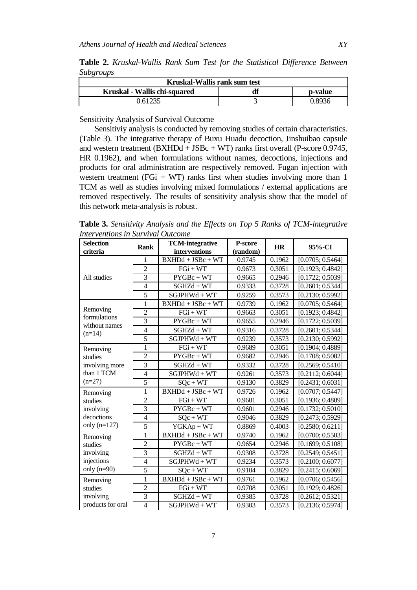**Table 2.** *Kruskal-Wallis Rank Sum Test for the Statistical Difference Between Subgroups*

| Kruskal-Wallis rank sum test            |  |       |  |  |  |
|-----------------------------------------|--|-------|--|--|--|
| Kruskal - Wallis chi-squared<br>p-value |  |       |  |  |  |
| .61235                                  |  | -8936 |  |  |  |

Sensitivity Analysis of Survival Outcome

Sensitiviy analysis is conducted by removing studies of certain characteristics. (Table 3). The integrative therapy of Buxu Huadu decoction, Jinshuibao capsule and western treatment (BXHDd + JSBc + WT) ranks first overall (P-score 0.9745, HR 0.1962), and when formulations without names, decoctions, injections and products for oral administration are respectively removed. Fugan injection with western treatment (FGi + WT) ranks first when studies involving more than 1 TCM as well as studies involving mixed formulations / external applications are removed respectively. The results of sensitivity analysis show that the model of this network meta-analysis is robust.

**Table 3.** *Sensitivity Analysis and the Effects on Top 5 Ranks of TCM-integrative Interventions in Survival Outcome*

| <b>Selection</b><br>criteria  | Rank                     | <b>TCM-integrative</b><br>interventions | <b>P-score</b><br>(random) | <b>HR</b> | $95%$ -CI        |
|-------------------------------|--------------------------|-----------------------------------------|----------------------------|-----------|------------------|
|                               | 1                        | $BXHDd + JSBc + WT$                     | 0.9745                     | 0.1962    | [0.0705; 0.5464] |
|                               | $\overline{2}$           | $FGi + WT$                              | 0.9673                     | 0.3051    | [0.1923; 0.4842] |
| All studies                   | 3                        | $PYGBc + WT$                            | 0.9665                     | 0.2946    | [0.1722; 0.5039] |
|                               | $\overline{4}$           | $SGHZd + WT$                            | 0.9333                     | 0.3728    | [0.2601; 0.5344] |
|                               | $\overline{5}$           | $SGJPHWd + WT$                          | 0.9259                     | 0.3573    | [0.2130; 0.5992] |
|                               | $\mathbf{1}$             | $BXHDd + JSBc + WT$                     | 0.9739                     | 0.1962    | [0.0705; 0.5464] |
| Removing                      | $\overline{2}$           | $FGi + WT$                              | 0.9663                     | 0.3051    | [0.1923; 0.4842] |
| formulations<br>without names | $\overline{3}$           | $PYGBc + WT$                            | 0.9655                     | 0.2946    | [0.1722; 0.5039] |
| $(n=14)$                      | $\overline{4}$           | $SGHZd + WT$                            | 0.9316                     | 0.3728    | [0.2601; 0.5344] |
|                               | 5                        | $SGJPHWd + WT$                          | 0.9239                     | 0.3573    | [0.2130; 0.5992] |
| Removing                      | $\mathbf{1}$             | $FGi + WT$                              | 0.9689                     | 0.3051    | [0.1904; 0.4889] |
| studies                       | $\overline{2}$           | $PYGBc + WT$                            | 0.9682                     | 0.2946    | [0.1708; 0.5082] |
| involving more                | $\overline{3}$           | $SGHZd + WT$                            | 0.9332                     | 0.3728    | [0.2569; 0.5410] |
| than 1 TCM                    | $\overline{4}$           | $SGJPHWd + WT$                          | 0.9261                     | 0.3573    | [0.2112; 0.6044] |
| $(n=27)$                      | 5                        | $SQc + WT$                              | 0.9130                     | 0.3829    | [0.2431; 0.6031] |
| Removing                      | $\mathbf{1}$             | $BXHDd + JSBc + WT$                     | 0.9726                     | 0.1962    | [0.0707; 0.5447] |
| studies                       | $\overline{2}$           | $FGi + WT$                              | 0.9601                     | 0.3051    | [0.1936; 0.4809] |
| involving                     | $\overline{3}$           | $PYGBc + WT$                            | 0.9601                     | 0.2946    | [0.1732; 0.5010] |
| decoctions                    | 4                        | $SQc + WT$                              | 0.9046                     | 0.3829    | [0.2473; 0.5929] |
| only $(n=127)$                | 5                        | $YGKAp + WT$                            | 0.8869                     | 0.4003    | [0.2580; 0.6211] |
| Removing                      | $\mathbf{1}$             | $BXHDd + JSBc + WT$                     | 0.9740                     | 0.1962    | [0.0700; 0.5503] |
| studies                       | $\overline{2}$           | $PYGBc + WT$                            | 0.9654                     | 0.2946    | [0.1699; 0.5108] |
| involving                     | $\overline{3}$           | $SGHZd + WT$                            | 0.9308                     | 0.3728    | [0.2549; 0.5451] |
| injections                    | $\overline{\mathcal{L}}$ | $SGJPHWd + WT$                          | 0.9234                     | 0.3573    | [0.2100; 0.6077] |
| only $(n=90)$                 | $\overline{5}$           | $SQc + WT$                              | 0.9104                     | 0.3829    | [0.2415; 0.6069] |
| Removing                      | $\mathbf{1}$             | $BXHDd + JSBc + WT$                     | 0.9761                     | 0.1962    | [0.0706; 0.5456] |
| studies                       | $\overline{2}$           | $FGi + WT$                              | 0.9708                     | 0.3051    | [0.1929; 0.4826] |
| involving                     | $\overline{3}$           | $SGHZd + WT$                            | 0.9385                     | 0.3728    | [0.2612; 0.5321] |
| products for oral             | $\overline{4}$           | $SGJPHWd + WT$                          | 0.9303                     | 0.3573    | [0.2136; 0.5974] |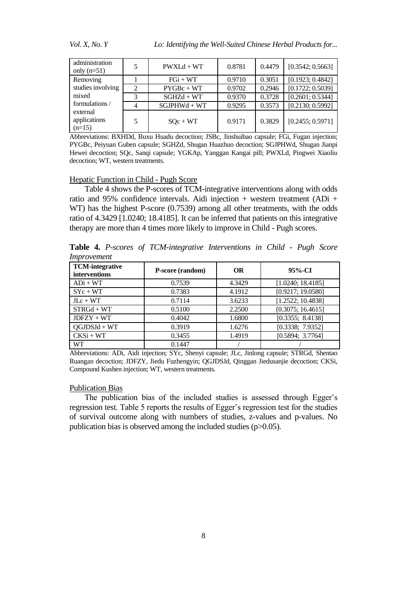*Vol. X, No. Y Lo: Identifying the Well-Suited Chinese Herbal Products for...* 

| administration<br>only $(n=51)$      | 5              | $PWXLA + WT$   | 0.8781 | 0.4479 | [0.3542; 0.5663] |
|--------------------------------------|----------------|----------------|--------|--------|------------------|
| Removing                             |                | $FGi + WT$     | 0.9710 | 0.3051 | [0.1923; 0.4842] |
| studies involving                    | $\overline{2}$ | $PYGBc + WT$   | 0.9702 | 0.2946 | [0.1722; 0.5039] |
| mixed                                | 3              | $SGHZd + WT$   | 0.9370 | 0.3728 | [0.2601; 0.5344] |
| formulations /                       | $\overline{4}$ | $SGJPHWd + WT$ | 0.9295 | 0.3573 | [0.2130; 0.5992] |
| external<br>applications<br>$(n=15)$ | 5              | $SQc + WT$     | 0.9171 | 0.3829 | [0.2455; 0.5971] |

Abbreviations: BXHDd, Buxu Huadu decoction; JSBc, Jinshuibao capsule; FGi, Fugan injection; PYGBc, Peiyuan Guben capsule; SGHZd, Shugan Huazhuo decoction; SGJPHWd, Shugan Jianpi Hewei decoction; SQc, Sanqi capsule; YGKAp, Yanggan Kangai pill; PWXLd, Pingwei Xiaoliu decoction; WT, western treatments.

## Hepatic Function in Child - Pugh Score

Table 4 shows the P-scores of TCM-integrative interventions along with odds ratio and 95% confidence intervals. Aidi injection  $+$  western treatment (ADi  $+$ WT) has the highest P-score (0.7539) among all other treatments, with the odds ratio of 4.3429 [1.0240; 18.4185]. It can be inferred that patients on this integrative therapy are more than 4 times more likely to improve in Child - Pugh scores.

**Table 4.** *P-scores of TCM-integrative Interventions in Child - Pugh Score Improvement*

| <b>TCM-integrative</b><br>interventions | P-score (random) | <b>OR</b> | $95%$ -CI         |
|-----------------------------------------|------------------|-----------|-------------------|
| $ADi + WT$                              | 0.7539           | 4.3429    | [1.0240; 18.4185] |
| $SYc + WT$                              | 0.7383           | 4.1912    | [0.9217; 19.0580] |
| $JLc + WT$                              | 0.7114           | 3.6233    | [1.2522; 10.4838] |
| $STRGd + WT$                            | 0.5100           | 2.2500    | [0.3075; 16.4615] |
| $JDFZY + WT$                            | 0.4042           | 1.6800    | [0.3355; 8.4138]  |
| $QGJDSJd + WT$                          | 0.3919           | 1.6276    | [0.3338; 7.9352]  |
| $CKSi + WT$                             | 0.3455           | 1.4919    | [0.5894; 3.7764]  |
| WT                                      | 0.1447           |           |                   |

Abbreviations: ADi, Aidi injection; SYc, Shenyi capsule; JLc, Jinlong capsule; STRGd, Shentao Ruangan decoction; JDFZY, Jiedu Fuzhengyin; QGJDSJd, Qinggan Jiedusanjie decoction; CKSi, Compound Kushen injection; WT, western treatments.

#### Publication Bias

The publication bias of the included studies is assessed through Egger's regression test. Table 5 reports the results of Egger's regression test for the studies of survival outcome along with numbers of studies, z-values and p-values. No publication bias is observed among the included studies (p>0.05).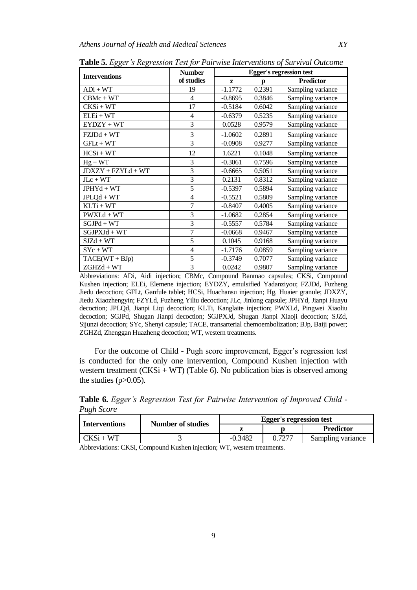|                      | <b>Number</b>  | <b>Egger's regression test</b> |        |                   |  |
|----------------------|----------------|--------------------------------|--------|-------------------|--|
| <b>Interventions</b> | of studies     | Z                              | р      | <b>Predictor</b>  |  |
| $ADi + WT$           | 19             | $-1.1772$                      | 0.2391 | Sampling variance |  |
| $CBMc + WT$          | $\overline{4}$ | $-0.8695$                      | 0.3846 | Sampling variance |  |
| $CKSi + WT$          | 17             | $-0.5184$                      | 0.6042 | Sampling variance |  |
| $ELEi + WT$          | $\overline{4}$ | $-0.6379$                      | 0.5235 | Sampling variance |  |
| $EYDZY + WT$         | 3              | 0.0528                         | 0.9579 | Sampling variance |  |
| $FZJDd + WT$         | 3              | $-1.0602$                      | 0.2891 | Sampling variance |  |
| $GFLt + WT$          | 3              | $-0.0908$                      | 0.9277 | Sampling variance |  |
| $HCSi + WT$          | 12             | 1.6221                         | 0.1048 | Sampling variance |  |
| $Hg + WT$            | 3              | $-0.3061$                      | 0.7596 | Sampling variance |  |
| $JDXZY + FZYLd + WT$ | 3              | $-0.6665$                      | 0.5051 | Sampling variance |  |
| $JLc + WT$           | 3              | 0.2131                         | 0.8312 | Sampling variance |  |
| $JPHYd + WT$         | 5              | $-0.5397$                      | 0.5894 | Sampling variance |  |
| $JPLQd + WT$         | $\overline{4}$ | $-0.5521$                      | 0.5809 | Sampling variance |  |
| $KLTi + WT$          | $\overline{7}$ | $-0.8407$                      | 0.4005 | Sampling variance |  |
| $PWXLd + WT$         | 3              | $-1.0682$                      | 0.2854 | Sampling variance |  |
| $SGJPd + WT$         | 3              | $-0.5557$                      | 0.5784 | Sampling variance |  |
| $SGIPXJd + WT$       | $\overline{7}$ | $-0.0668$                      | 0.9467 | Sampling variance |  |
| $SIZd + WT$          | 5              | 0.1045                         | 0.9168 | Sampling variance |  |
| $SYc + WT$           | $\overline{4}$ | $-1.7176$                      | 0.0859 | Sampling variance |  |
| $TACE(WT + BJp)$     | 5              | $-0.3749$                      | 0.7077 | Sampling variance |  |
| $ZGHZd + WT$         | $\overline{3}$ | 0.0242                         | 0.9807 | Sampling variance |  |

**Table 5.** *Egger's Regression Test for Pairwise Interventions of Survival Outcome*

Abbreviations: ADi, Aidi injection; CBMc, Compound Banmao capsules; CKSi, Compound Kushen injection; ELEi, Elemene injection; EYDZY, emulsified Yadanziyou; FZJDd, Fuzheng Jiedu decoction; GFLt, Ganfule tablet; HCSi, Huachansu injection; Hg, Huaier granule; JDXZY, Jiedu Xiaozhengyin; FZYLd, Fuzheng Yiliu decoction; JLc, Jinlong capsule; JPHYd, Jianpi Huayu decoction; JPLQd, Jianpi Liqi decoction; KLTi, Kanglaite injection; PWXLd, Pingwei Xiaoliu decoction; SGJPd, Shugan Jianpi decoction; SGJPXJd, Shugan Jianpi Xiaoji decoction; SJZd, Sijunzi decoction; SYc, Shenyi capsule; TACE, transarterial chemoembolization; BJp, Baiji power; ZGHZd, Zhenggan Huazheng decoction; WT, western treatments.

For the outcome of Child - Pugh score improvement, Egger's regression test is conducted for the only one intervention, Compound Kushen injection with western treatment  $(CKSi + WT)$  (Table 6). No publication bias is observed among the studies  $(p>0.05)$ .

**Table 6.** *Egger's Regression Test for Pairwise Intervention of Improved Child - Pugh Score*

| <b>Interventions</b> | <b>Number of studies</b> | <b>Egger's regression test</b> |        |                   |  |
|----------------------|--------------------------|--------------------------------|--------|-------------------|--|
|                      |                          |                                |        | <b>Predictor</b>  |  |
| $CKSi + WT$          |                          | $-0.3482$                      | 0.7277 | Sampling variance |  |

Abbreviations: CKSi, Compound Kushen injection; WT, western treatments.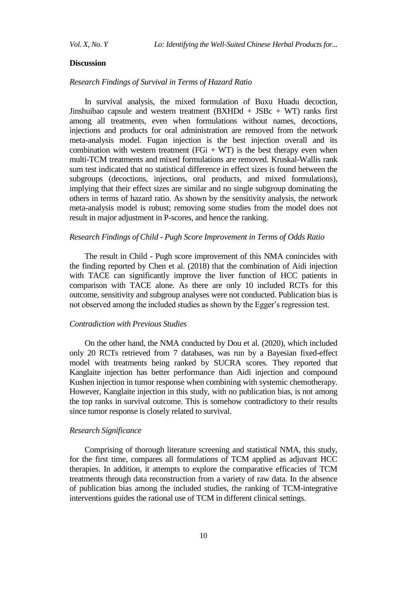## **Discussion**

# *Research Findings of Survival in Terms of Hazard Ratio*

In survival analysis, the mixed formulation of Buxu Huadu decoction, Jinshuibao capsule and western treatment  $(BXHDd + JSBc + WT)$  ranks first among all treatments, even when formulations without names, decoctions, injections and products for oral administration are removed from the network meta-analysis model. Fugan injection is the best injection overall and its combination with western treatment ( $FGi + WT$ ) is the best therapy even when multi-TCM treatments and mixed formulations are removed. Kruskal-Wallis rank sum test indicated that no statistical difference in effect sizes is found between the subgroups (decoctions, injections, oral products, and mixed formulations), implying that their effect sizes are similar and no single subgroup dominating the others in terms of hazard ratio. As shown by the sensitivity analysis, the network meta-analysis model is robust; removing some studies from the model does not result in major adjustment in P-scores, and hence the ranking.

# *Research Findings of Child - Pugh Score Improvement in Terms of Odds Ratio*

The result in Child - Pugh score improvement of this NMA conincides with the finding reported by Chen et al. (2018) that the combination of Aidi injection with TACE can significantly improve the liver function of HCC patients in comparison with TACE alone. As there are only 10 included RCTs for this outcome, sensitivity and subgroup analyses were not conducted. Publication bias is not observed among the included studies as shown by the Egger's regression test.

#### *Contradiction with Previous Studies*

On the other hand, the NMA conducted by Dou et al. (2020), which included only 20 RCTs retrieved from 7 databases, was run by a Bayesian fixed-effect model with treatments being ranked by SUCRA scores. They reported that Kanglaite injection has better performance than Aidi injection and compound Kushen injection in tumor response when combining with systemic chemotherapy. However, Kanglaite injection in this study, with no publication bias, is not among the top ranks in survival outcome. This is somehow contradictory to their results since tumor response is closely related to survival.

## *Research Significance*

Comprising of thorough literature screening and statistical NMA, this study, for the first time, compares all formulations of TCM applied as adjuvant HCC therapies. In addition, it attempts to explore the comparative efficacies of TCM treatments through data reconstruction from a variety of raw data. In the absence of publication bias among the included studies, the ranking of TCM-integrative interventions guides the rational use of TCM in different clinical settings.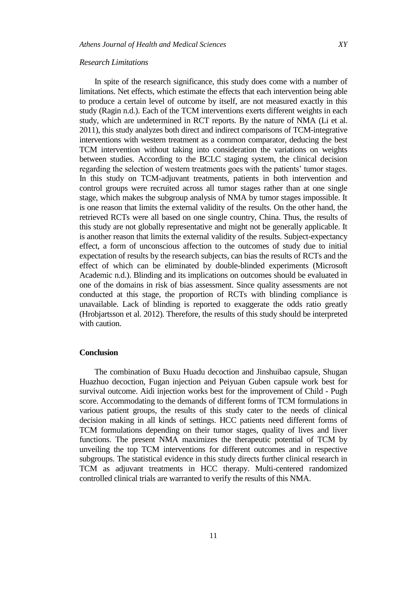#### *Research Limitations*

In spite of the research significance, this study does come with a number of limitations. Net effects, which estimate the effects that each intervention being able to produce a certain level of outcome by itself, are not measured exactly in this study (Ragin n.d.). Each of the TCM interventions exerts different weights in each study, which are undetermined in RCT reports. By the nature of NMA (Li et al. 2011), this study analyzes both direct and indirect comparisons of TCM-integrative interventions with western treatment as a common comparator, deducing the best TCM intervention without taking into consideration the variations on weights between studies. According to the BCLC staging system, the clinical decision regarding the selection of western treatments goes with the patients' tumor stages. In this study on TCM-adjuvant treatments, patients in both intervention and control groups were recruited across all tumor stages rather than at one single stage, which makes the subgroup analysis of NMA by tumor stages impossible. It is one reason that limits the external validity of the results. On the other hand, the retrieved RCTs were all based on one single country, China. Thus, the results of this study are not globally representative and might not be generally applicable. It is another reason that limits the external validity of the results. Subject-expectancy effect, a form of unconscious affection to the outcomes of study due to initial expectation of results by the research subjects, can bias the results of RCTs and the effect of which can be eliminated by double-blinded experiments (Microsoft Academic n.d.). Blinding and its implications on outcomes should be evaluated in one of the domains in risk of bias assessment. Since quality assessments are not conducted at this stage, the proportion of RCTs with blinding compliance is unavailable. Lack of blinding is reported to exaggerate the odds ratio greatly (Hrobjartsson et al. 2012). Therefore, the results of this study should be interpreted with caution.

## **Conclusion**

The combination of Buxu Huadu decoction and Jinshuibao capsule, Shugan Huazhuo decoction, Fugan injection and Peiyuan Guben capsule work best for survival outcome. Aidi injection works best for the improvement of Child - Pugh score. Accommodating to the demands of different forms of TCM formulations in various patient groups, the results of this study cater to the needs of clinical decision making in all kinds of settings. HCC patients need different forms of TCM formulations depending on their tumor stages, quality of lives and liver functions. The present NMA maximizes the therapeutic potential of TCM by unveiling the top TCM interventions for different outcomes and in respective subgroups. The statistical evidence in this study directs further clinical research in TCM as adjuvant treatments in HCC therapy. Multi-centered randomized controlled clinical trials are warranted to verify the results of this NMA.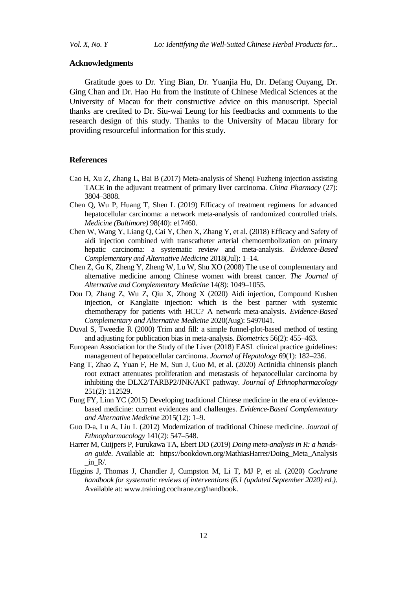#### **Acknowledgments**

Gratitude goes to Dr. Ying Bian, Dr. Yuanjia Hu, Dr. Defang Ouyang, Dr. Ging Chan and Dr. Hao Hu from the Institute of Chinese Medical Sciences at the University of Macau for their constructive advice on this manuscript. Special thanks are credited to Dr. Siu-wai Leung for his feedbacks and comments to the research design of this study. Thanks to the University of Macau library for providing resourceful information for this study.

# **References**

- Cao H, Xu Z, Zhang L, Bai B (2017) Meta-analysis of Shenqi Fuzheng injection assisting TACE in the adjuvant treatment of primary liver carcinoma. *China Pharmacy* (27): 3804–3808.
- Chen Q, Wu P, Huang T, Shen L (2019) Efficacy of treatment regimens for advanced hepatocellular carcinoma: a network meta-analysis of randomized controlled trials. *Medicine (Baltimore)* 98(40): e17460.
- Chen W, Wang Y, Liang Q, Cai Y, Chen X, Zhang Y, et al. (2018) Efficacy and Safety of aidi injection combined with transcatheter arterial chemoembolization on primary hepatic carcinoma: a systematic review and meta-analysis. *Evidence-Based Complementary and Alternative Medicine* 2018(Jul): 1–14.
- Chen Z, Gu K, Zheng Y, Zheng W, Lu W, Shu XO (2008) The use of complementary and alternative medicine among Chinese women with breast cancer. *The Journal of Alternative and Complementary Medicine* 14(8): 1049–1055.
- Dou D, Zhang Z, Wu Z, Qiu X, Zhong X (2020) Aidi injection, Compound Kushen injection, or Kanglaite injection: which is the best partner with systemic chemotherapy for patients with HCC? A network meta-analysis. *Evidence-Based Complementary and Alternative Medicine* 2020(Aug): 5497041.
- Duval S, Tweedie R (2000) Trim and fill: a simple funnel-plot-based method of testing and adjusting for publication bias in meta-analysis. *Biometrics* 56(2): 455–463.
- European Association for the Study of the Liver (2018) EASL clinical practice guidelines: management of hepatocellular carcinoma. *Journal of Hepatology* 69(1): 182–236.
- Fang T, Zhao Z, Yuan F, He M, Sun J, Guo M, et al. (2020) Actinidia chinensis planch root extract attenuates proliferation and metastasis of hepatocellular carcinoma by inhibiting the DLX2/TARBP2/JNK/AKT pathway. *Journal of Ethnopharmacology* 251(2): 112529.
- Fung FY, Linn YC (2015) Developing traditional Chinese medicine in the era of evidencebased medicine: current evidences and challenges. *Evidence-Based Complementary and Alternative Medicine* 2015(12): 1–9.
- Guo D-a, Lu A, Liu L (2012) Modernization of traditional Chinese medicine. *Journal of Ethnopharmacology* 141(2): 547–548.
- Harrer M, Cuijpers P, Furukawa TA, Ebert DD (2019) *Doing meta-analysis in R: a handson guide*. Available at: https://bookdown.org/MathiasHarrer/Doing\_Meta\_Analysis  $in_R$ .
- Higgins J, Thomas J, Chandler J, Cumpston M, Li T, MJ P, et al. (2020) *Cochrane handbook for systematic reviews of interventions (6.1 (updated September 2020) ed.)*. Available at: [www.training.cochrane.org/handbook.](file:///C:/Users/HPPC/Desktop/Forthcoming%20Papers-Journals/www.training.cochrane.org/handbook)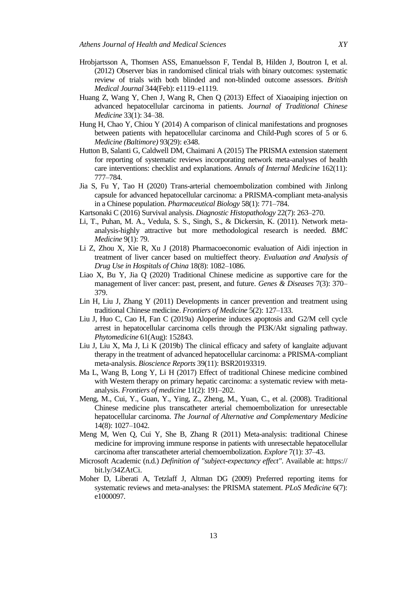- Hrobjartsson A, Thomsen ASS, Emanuelsson F, Tendal B, Hilden J, Boutron I, et al. (2012) Observer bias in randomised clinical trials with binary outcomes: systematic review of trials with both blinded and non-blinded outcome assessors. *British Medical Journal* 344(Feb): e1119–e1119.
- Huang Z, Wang Y, Chen J, Wang R, Chen Q (2013) Effect of Xiaoaiping injection on advanced hepatocellular carcinoma in patients. *Journal of Traditional Chinese Medicine* 33(1): 34–38.
- Hung H, Chao Y, Chiou Y (2014) A comparison of clinical manifestations and prognoses between patients with hepatocellular carcinoma and Child-Pugh scores of 5 or 6. *Medicine (Baltimore)* 93(29): e348.
- Hutton B, Salanti G, Caldwell DM, Chaimani A (2015) The PRISMA extension statement for reporting of systematic reviews incorporating network meta-analyses of health care interventions: checklist and explanations. *Annals of Internal Medicine* 162(11): 777–784.
- Jia S, Fu Y, Tao H (2020) Trans-arterial chemoembolization combined with Jinlong capsule for advanced hepatocellular carcinoma: a PRISMA-compliant meta-analysis in a Chinese population. *Pharmaceutical Biology* 58(1): 771–784.
- Kartsonaki C (2016) Survival analysis. *Diagnostic Histopathology* 22(7): 263–270.
- Li, T., Puhan, M. A., Vedula, S. S., Singh, S., & Dickersin, K. (2011). Network metaanalysis-highly attractive but more methodological research is needed. *BMC Medicine* 9(1): 79.
- Li Z, Zhou X, Xie R, Xu J (2018) Pharmacoeconomic evaluation of Aidi injection in treatment of liver cancer based on multieffect theory. *Evaluation and Analysis of Drug Use in Hospitals of China* 18(8): 1082–1086.
- Liao X, Bu Y, Jia Q (2020) Traditional Chinese medicine as supportive care for the management of liver cancer: past, present, and future. *Genes & Diseases* 7(3): 370– 379.
- Lin H, Liu J, Zhang Y (2011) Developments in cancer prevention and treatment using traditional Chinese medicine. *Frontiers of Medicine* 5(2): 127–133.
- Liu J, Huo C, Cao H, Fan C (2019a) Aloperine induces apoptosis and G2/M cell cycle arrest in hepatocellular carcinoma cells through the PI3K/Akt signaling pathway. *Phytomedicine* 61(Aug): 152843.
- Liu J, Liu X, Ma J, Li K (2019b) The clinical efficacy and safety of kanglaite adjuvant therapy in the treatment of advanced hepatocellular carcinoma: a PRISMA-compliant meta-analysis. *Bioscience Reports* 39(11): BSR20193319.
- Ma L, Wang B, Long Y, Li H (2017) Effect of traditional Chinese medicine combined with Western therapy on primary hepatic carcinoma: a systematic review with metaanalysis. *Frontiers of medicine* 11(2): 191–202.
- Meng, M., Cui, Y., Guan, Y., Ying, Z., Zheng, M., Yuan, C., et al. (2008). Traditional Chinese medicine plus transcatheter arterial chemoembolization for unresectable hepatocellular carcinoma. *The Journal of Alternative and Complementary Medicine* 14(8): 1027–1042.
- Meng M, Wen Q, Cui Y, She B, Zhang R (2011) Meta-analysis: traditional Chinese medicine for improving immune response in patients with unresectable hepatocellular carcinoma after transcatheter arterial chemoembolization. *Explore* 7(1): 37–43.
- Microsoft Academic (n.d.) *Definition of "subject-expectancy effect"*. Available at: https:// bit.ly/34ZAtCi.
- Moher D, Liberati A, Tetzlaff J, Altman DG (2009) Preferred reporting items for systematic reviews and meta-analyses: the PRISMA statement. *PLoS Medicine* 6(7): e1000097.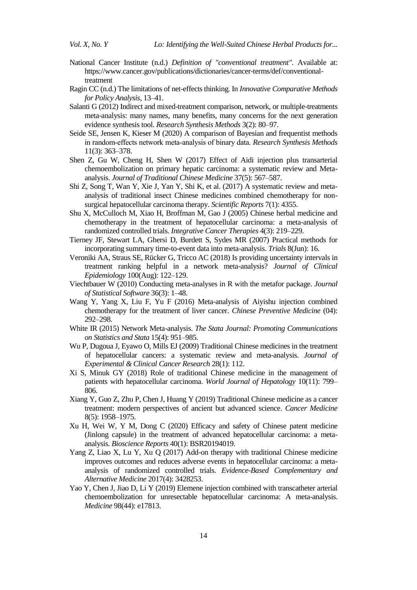- National Cancer Institute (n.d.) *Definition of "conventional treatment"*. Available at: [https://www.cancer.gov/publications/dictionaries/cancer-terms/def/conventional](https://www.cancer.gov/publications/dictionaries/cancer-terms/def/conventional-treatment)[treatment](https://www.cancer.gov/publications/dictionaries/cancer-terms/def/conventional-treatment)
- Ragin CC (n.d.) The limitations of net-effects thinking. In *Innovative Comparative Methods for Policy Analysis*, 13–41.
- Salanti G (2012) Indirect and mixed-treatment comparison, network, or multiple-treatments meta-analysis: many names, many benefits, many concerns for the next generation evidence synthesis tool. *Research Synthesis Methods* 3(2): 80–97.
- Seide SE, Jensen K, Kieser M (2020) A comparison of Bayesian and frequentist methods in random‐effects network meta‐analysis of binary data. *Research Synthesis Methods*  11(3): 363–378.
- Shen Z, Gu W, Cheng H, Shen W (2017) Effect of Aidi injection plus transarterial chemoembolization on primary hepatic carcinoma: a systematic review and Metaanalysis. *Journal of Traditional Chinese Medicine* 37(5): 567–587.
- Shi Z, Song T, Wan Y, Xie J, Yan Y, Shi K, et al. (2017) A systematic review and metaanalysis of traditional insect Chinese medicines combined chemotherapy for nonsurgical hepatocellular carcinoma therapy. *Scientific Reports* 7(1): 4355.
- Shu X, McCulloch M, Xiao H, Broffman M, Gao J (2005) Chinese herbal medicine and chemotherapy in the treatment of hepatocellular carcinoma: a meta-analysis of randomized controlled trials. *Integrative Cancer Therapies* 4(3): 219–229.
- Tierney JF, Stewart LA, Ghersi D, Burdett S, Sydes MR (2007) Practical methods for incorporating summary time-to-event data into meta-analysis. *Trials* 8(Jun): 16.
- Veroniki AA, Straus SE, Rücker G, Tricco AC (2018) Is providing uncertainty intervals in treatment ranking helpful in a network meta-analysis? *Journal of Clinical Epidemiology* 100(Aug): 122–129.
- Viechtbauer W (2010) Conducting meta-analyses in R with the metafor package. *Journal of Statistical Software* 36(3): 1–48.
- Wang Y, Yang X, Liu F, Yu F (2016) Meta-analysis of Aiyishu injection combined chemotherapy for the treatment of liver cancer. *Chinese Preventive Medicine* (04): 292–298.
- White IR (2015) Network Meta-analysis. *The Stata Journal: Promoting Communications on Statistics and Stata* 15(4): 951–985.
- Wu P, Dugoua J, Eyawo O, Mills EJ (2009) Traditional Chinese medicines in the treatment of hepatocellular cancers: a systematic review and meta-analysis. *Journal of Experimental & Clinical Cancer Research* 28(1): 112.
- Xi S, Minuk GY (2018) Role of traditional Chinese medicine in the management of patients with hepatocellular carcinoma. *World Journal of Hepatology* 10(11): 799– 806.
- Xiang Y, Guo Z, Zhu P, Chen J, Huang Y (2019) Traditional Chinese medicine as a cancer treatment: modern perspectives of ancient but advanced science. *Cancer Medicine* 8(5): 1958–1975.
- Xu H, Wei W, Y M, Dong C (2020) Efficacy and safety of Chinese patent medicine (Jinlong capsule) in the treatment of advanced hepatocellular carcinoma: a metaanalysis. *Bioscience Reports* 40(1): BSR20194019.
- Yang Z, Liao X, Lu Y, Xu Q (2017) Add-on therapy with traditional Chinese medicine improves outcomes and reduces adverse events in hepatocellular carcinoma: a metaanalysis of randomized controlled trials. *Evidence-Based Complementary and Alternative Medicine* 2017(4): 3428253.
- Yao Y, Chen J, Jiao D, Li Y (2019) Elemene injection combined with transcatheter arterial chemoembolization for unresectable hepatocellular carcinoma: A meta-analysis. *Medicine* 98(44): e17813.